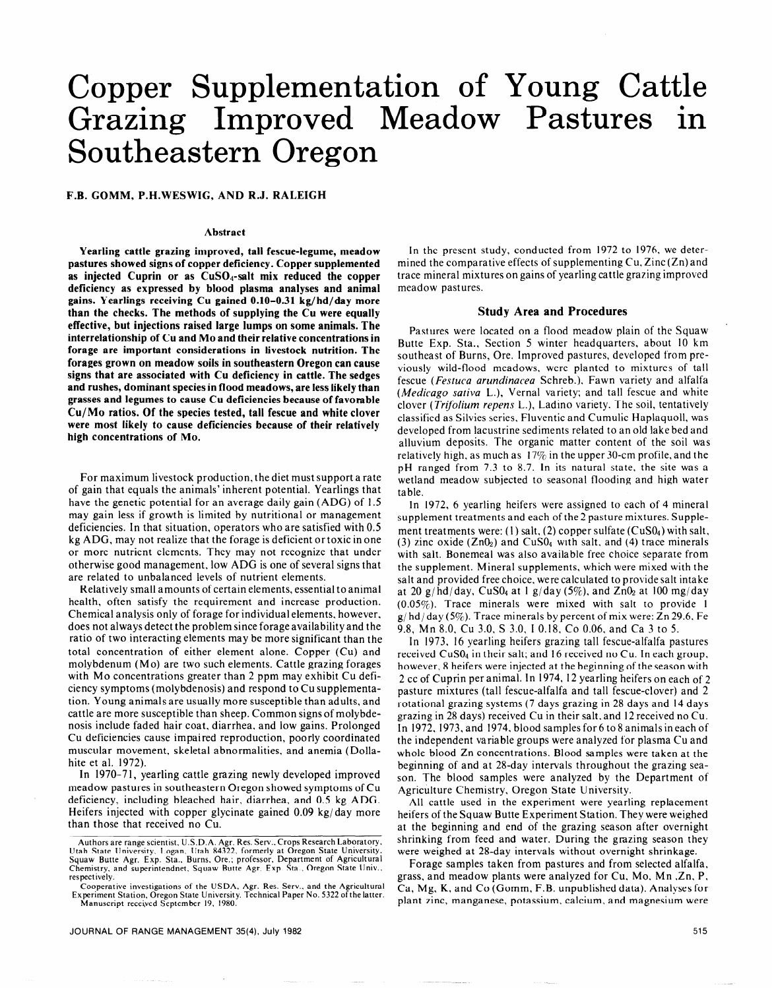# Copper Supplementation of Young Cattle Grazing Improved Meadow Pastures in Southeastern Oregon

**F.B. GOMM, P.H.WESWIG, AND R.J. RALEIGH** 

#### **Abstract**

**Yearling cattle grazing improved, tall fescue-legume, meadow pastures showed signs of copper deficiency. Copper supplemented**  as injected Cuprin or as CuSO<sub>4</sub>-salt mix reduced the copper **deficiency as expressed by blood plasma analyses and animal gains. Yearlings receiving Cu gained 0.10-0.31 kg/hd/day more than the checks. The methods of supplying the Cu were equally effective, but injections raised large lumps on some animals. The interrelationship of Cu and MO and their relative concentrations in forage are important considerations in livestock nutrition. The forages grown on meadow soils in southeastern Oregon can cause signs that are associated with Cu deficiency in cattle. The sedges and rushes, dominant species in flood meadows, are less likely than grasses and legumes to cause Cu deficiencies because of favorable Cu/Mo ratios. Of the species tested, tall fescue and white clover were most likely to cause deficiencies because of their relatively high concentrations of MO.** 

For maximum livestock production, the diet must support a rate of gain that equals the animals' inherent potential. Yearlings that have the genetic potential for an average daily gain (ADG) of 1.5 may gain less if growth is limited by nutritional or management deficiencies. In that situation, operators who are satisfied with 0.5 kg ADG, may not realize that the forage is deficient or toxic in one or more nutrient elements. They may not recognize that under otherwise good management, low ADG is one of several signs that are related to unbalanced levels of nutrient elements.

Relatively small amounts of certain elements, essential to animal health, often satisfy the requirement and increase production. Chemical analysis only of forage for individual elements, however, does not always detect the problem since forage availability and the ratio of two interacting elements may be more significant than the total concentration of either element alone. Copper (Cu) and molybdenum (MO) are two such elements. Cattle grazing forages with Mo concentrations greater than 2 ppm may exhibit Cu deficiency symptoms (molybdenosis) and respond to Cu supplementation. Young animals are usually more susceptible than adults, and cattle are more susceptible than sheep. Common signs of molybdenosis include faded hair coat, diarrhea, and low gains. Prolonged Cu deficiencies cause impaired reproduction, poorly coordinated muscular movement, skeletal abnormalities, and anemia (Dollahite et al. 1972).

In 1970-71, yearling cattle grazing newly developed improved meadow pastures in southeastern Oregon showed symptoms of Cu deficiency, including bleached hair, diarrhea, and 0.5 kg ADG. Heifers injected with copper glycinate gained 0.09 kg/day more than those that received no Cu.

In the present study, conducted from 1972 to 1976, we determined the comparative effects of supplementing  $Cu$ ,  $Zinc(Zn)$  and trace mineral mixtures on gains of yearling cattle grazing improved meadow pastures.

#### **Study Area and Procedures**

Pastures were located on a flood meadow plain of the Squaw Butte Exp. Sta., Section 5 winter headquarters, about IO km southeast of Burns, Ore. Improved pastures, developed from previously wild-flood meadows, were planted to mixtures of tall fescue (Festuca arundinacea Schreb.), Fawn variety and alfalfa (*Medicago sativa* L.), Vernal variety; and tall fescue and white clover (Trifolium *repens* L.), Ladino variety. The soil, tentatively classified as Silvies series, Fluventic and Cumulic Haplaquoll, was developed from lacustrine sediments related to an old lake bed and alluvium deposits. The organic matter content of the soil was relatively high, as much as  $17\%$  in the upper 30-cm profile, and the pH ranged from 7.3 to 8.7. In its natural state, the site was a wetland meadow subjected to seasonal flooding and high water table.

In 1972, 6 yearling heifers were assigned to each of 4 mineral supplement treatments and each of the 2 pasture mixtures. Supplement treatments were: (1) salt, (2) copper sulfate  $(CuS0<sub>4</sub>)$  with salt, (3) zinc oxide  $(ZnO<sub>2</sub>)$  and  $CuSO<sub>4</sub>$  with salt. and (4) trace minerals with salt. Bonemeal was also available free choice separate from the supplement. Mineral supplements, which were mixed with the salt and provided free choice, were calculated to provide salt intake at 20 g/hd/day, CuS0<sub>4</sub> at 1 g/day (5%), and  $Zn0<sub>2</sub>$  at 100 mg/day (0.05%). Trace minerals were mixed with salt to provide I  $g/hd/day$  (5%). Trace minerals by percent of mix were: Zn 29.6, Fe 9.8, Mn 8.0, Cu 3.0, S 3.0, I 0.18. Co 0.06. and Ca 3 to 5.

In 1973, 16 yearling heifers grazing tall fescue-alfalfa pastures received CuS0<sub>4</sub> in their salt; and 16 received no Cu. In each group, however, 8 heifers were injected at the beginning of the season with 2 cc of Cuprin per animal. In 1974, 12 yearling heifers on each of 2 pasture mixtures (tall fescue-alfalfa and tall fescue-clover) and 2 rotational grazing systems (7 days grazing in 28 days and 14 days grazing in 28 days) received Cu in their salt, and 12 received no Cu. In 1972, 1973, and 1974. blood samples for 6 to 8 animals in each of the independent variable groups were analyzed for plasma Cu and whole blood Zn concentrations. Blood samples were taken at the beginning of and at 28-day intervals throughout the grazing season. The blood samples were analyzed by the Department of Agriculture Chemistry, Oregon State University.

All cattle used in the experiment were yearling replacement heifers of the Squaw Butte Experiment Station. They were weighed at the beginning and end of the grazing season after overnight shrinking from feed and water. During the grazing season they were weighed at 28-day intervals without overnight shrinkage.

Forage samples taken from pastures and from selected alfalfa, grass, and meadow plants were analyzed for Cu. MO. Mn ,Zn. P, Ca, Mg, K, and Co (Gomm, F.B. unpublished data). Analyses for plant zinc, manganese, potassium, calcium, and magnesium were

Authors are range scientist, U.S.D.A. Agr. Res. Serv., Crops Research Laboratory<br>Utah State University, Logan, Utah 84322, formerly at Oregon State University<br>Squaw Butte Agr. Exp. Sta., Burns, Ore.; professor, Department respectively.

Cooperative investigations of the USDA, Agr. Res. Serv.. and the Agricultural Experiment Station, Oregon State University. Technical Paper No. 5322 ofthe latter. Manuscript received September 19. 1980.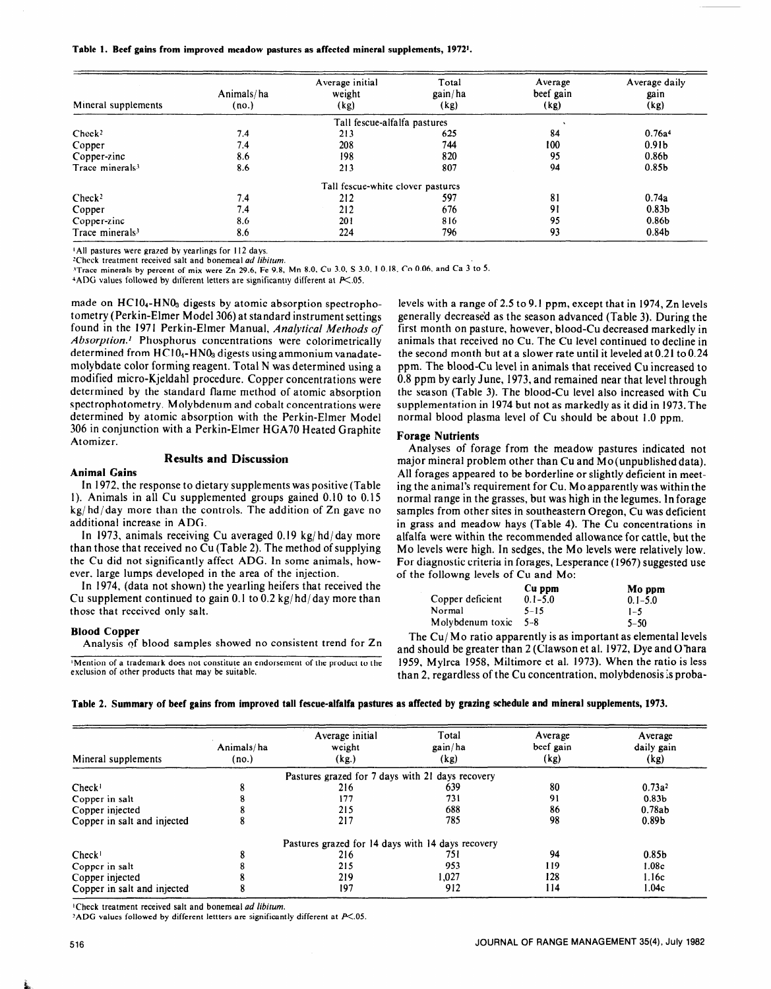**Table 1. Beef gains from improved meadow pastures as affected mineral supplements, 19721.** 

| Mineral supplements         | Animals/ha<br>(no.) | Average initial<br>weight<br>(kg) | Total<br>gain/ha<br>(kg) | Average<br>beef gain<br>(kg) | Average daily<br>gain<br>(kg) |
|-----------------------------|---------------------|-----------------------------------|--------------------------|------------------------------|-------------------------------|
|                             |                     | Tall fescue-alfalfa pastures      |                          |                              |                               |
| Check <sup>2</sup>          | 7.4                 | 213                               | 625                      | 84                           | 0.76a <sup>4</sup>            |
| Copper                      | 7.4                 | 208                               | 744                      | 100                          | 0.91 <sub>b</sub>             |
| Copper-zinc                 | 8.6                 | 198                               | 820                      | 95                           | 0.86 <sub>b</sub>             |
| Trace minerals <sup>3</sup> | 8.6                 | 213                               | 807                      | 94                           | 0.85 <sub>b</sub>             |
|                             |                     | Tall fescue-white clover pastures |                          |                              |                               |
| Check <sup>2</sup>          | 7.4                 | 212                               | 597                      | 81                           | 0.74a                         |
| Copper                      | 7.4                 | 212                               | 676                      | 91                           | 0.83 <sub>b</sub>             |
| Copper-zinc                 | 8.6                 | 201                               | 816                      | 95                           | 0.86 <sub>b</sub>             |
| Trace minerals <sup>3</sup> | 8.6                 | 224                               | 796                      | 93                           | 0.84 <sub>b</sub>             |

<sup>1</sup>All pastures were grazed by yearlings for 112 days.

**'Check treatment received salt and bonemeal ad** *libitum.* 

**"Trace minerals bv oercent of mix were Zn 29.6. Fe 9.8. Mn 8.0, Cu 3.0, S 3.0,** I **0.18,** CO **0.06.** and Ca 3 to 5.

 $4$ ADG values followed by different letters are significantly different at  $K.05$ .

made on HC104-HN03 digests by atomic absorption spectrophotometry (Perkin-Elmer Model 306) at standard instrument settings found in the 1971 Perkin-Elmer Manual, *Analytical Methods of Absorption.'* Phosphorus concentrations were calorimetrically determined from HC104-HN03 digests using ammonium vanadatemolybdate color forming reagent. Total N was determined using a modified micro-Kjeldahl procedure. Copper concentrations were determined by the standard flame method of atomic absorption spectrophotometry. Molybdenum and cobalt concentrations were determined by atomic absorption with the Perkin-Elmer Model 306 in conjunction with a Perkin-Elmer HGA70 Heated Graphite Atomizer.

# **Results and Discussion**

# **Animal Gains**

In 1972. the response to dietary supplements was positive (Table  $1.111772$ , the response to dictary supplements was positive (1 april) 1). Animals in all Cu supplemented groups gained  $0.10$  to  $0.15$  $kg/hd/day$  more than the controls. The addition of Zn gave no additional increase in ADG. In 1973, animals receiving Cu averaged 0.19 kg/ hd/ day more

 $t_1$  that the summary increased  $\alpha$  averaged  $\alpha$ , the may method of supplying  $\alpha$ then those that received no  $\mathcal{L}u$  (Table 2). The method of supplying the cu und not significantly ariest ADO. In some anni ever, large lumps developed in the area of the injection.

In 1974, (data not shown) the yearling heifers that received the Cu supplement continued to gain 0.1 to 0.2  $\frac{kg}{hd}$  day more than those that received only salt.

## **Blood Copper**

Analysis af blood samples showed no consistent trend for Zn **'Mention of a trademark does not constitute an endorsement of the product to the** 

**Mention of a trademark does not constitute an endorsement of the product to the** exclusion of other products that may be suitable.

levels with a range of 2.5 to 9.1 ppm, except that in 1974, Zn levels generally decrease'd as the season advanced (Table 3). During the first month on pasture, however, blood-Cu decreased markedly in animals that received no Cu. The Cu level continued to decline in the second month but at a slower rate until it leveled at 0.21 to 0.24 ppm. The blood-Cu level in animals that received Cu increased to 0.8 ppm by early June, 1973, and remained near that level through the season (Table 3). The blood-Cu level also increased with Cu supplementation in 1974 but not as markedly as it did in 1973. The normal blood plasma level of Cu should be about 1.0 ppm.

## **Forage Nutrients**

Analyses of forage from the meadow pastures indicated not major mineral problem other than  $Cu$  and  $Mo(unpublished data)$ . All forages appeared to be borderline or slightly deficient in meeting the animal's requirement for Cu. MO apparently was within the normal range in the grasses, but was high in the legumes. In forage normal lange in the grasses, out was ingn in the regulies. In forage  $\frac{1}{\sqrt{L}}$  is a mean of the concentration of  $\frac{1}{\sqrt{L}}$ . The Cu concentrations in  $\frac{1}{\sqrt{L}}$ alfalfa with the recommended allows the recommended allows for  $\frac{1}{2}$  and  $\frac{1}{2}$  allows the cattles, but the cattle anana were within the recommended anowance for earlie, but the Mo levels were high. In sedges, the Mo levels were relatively low. For diagnostic criteria in forages, Lesperance (1967) suggested use<br>of the followng levels of Cu and Mo:

|                  | Cu ppm      | Mo ppm      |  |
|------------------|-------------|-------------|--|
| Copper deficient | $0.1 - 5.0$ | $0.1 - 5.0$ |  |
| Normal           | $5 - 15$    | $1 - 5$     |  |
| Molybdenum toxic | $5 - 8$     | $5 - 50$    |  |
|                  |             | - -         |  |

 $\frac{1}{2}$  ine Cu/Mo ratio apparently is as important as elemental levels and should be greater than 2 (Clawson et al. 1972, Dye and O'hara 1959, Mylrea 1958, Miltimore et al. 1973). When the ratio is less than 2, regardless of the Cu concentration, molybdenosis is proba-

## **Table 2. Summary of beef gains from improved tall fescue-alfalfa pastures as affected by grazing schedule and mineral supplements, 1973.**

| Mineral supplements         | Animals/ha<br>(no.) | Average initial<br>Total<br>gain/ha<br>weight<br>(kg)<br>(kg) |       | Average<br>beef gain<br>(kg) | Average<br>daily gain<br>(kg) |  |
|-----------------------------|---------------------|---------------------------------------------------------------|-------|------------------------------|-------------------------------|--|
|                             |                     | Pastures grazed for 7 days with 21 days recovery              |       |                              |                               |  |
| Check <sup>T</sup>          |                     | 216                                                           | 639   | 80                           | $0.73a^2$                     |  |
| Copper in salt              |                     | 177                                                           | 731   | 91                           | 0.83 <sub>b</sub>             |  |
| Copper injected             |                     | 215                                                           | 688   | 86                           | 0.78ab                        |  |
| Copper in salt and injected |                     | 217                                                           | 785   | 98                           | 0.89 <sub>b</sub>             |  |
|                             |                     | Pastures grazed for 14 days with 14 days recovery             |       |                              |                               |  |
| Check <sup>T</sup>          |                     | 216                                                           | 751   | 94                           | 0.85 <sub>b</sub>             |  |
| Copper in salt              |                     | 215                                                           | 953   | 119                          | 1.08c                         |  |
| Copper injected             |                     | 219                                                           | 1,027 | 128                          | 1.16c                         |  |
| Copper in salt and injected |                     | 197                                                           | 912   | 114                          | 1.04c                         |  |

<sup>1</sup>Check treatment received salt and bonemeal *ad libitum*.

<sup>2</sup>ADG values followed by different lettters are significantly different at  $P<.05$ .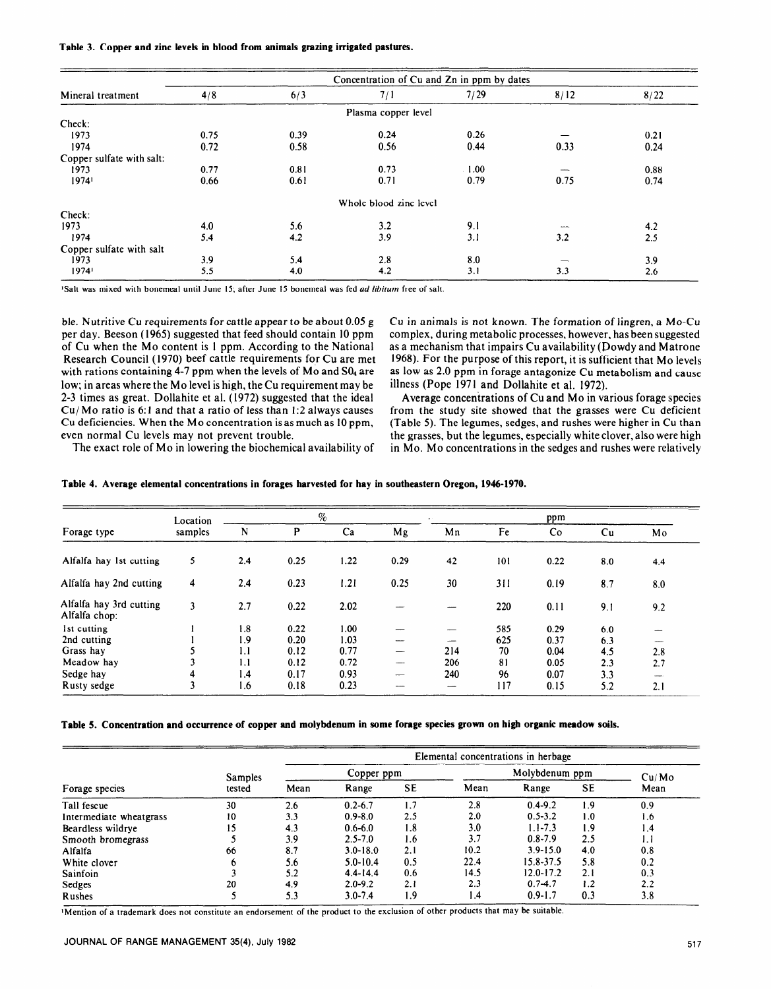|  |  |  |  | Table 3. Copper and zinc levels in blood from animals grazing irrigated pastures. |  |  |  |
|--|--|--|--|-----------------------------------------------------------------------------------|--|--|--|
|--|--|--|--|-----------------------------------------------------------------------------------|--|--|--|

|                           |      |      |                        | Concentration of Cu and Zn in ppm by dates |      |      |
|---------------------------|------|------|------------------------|--------------------------------------------|------|------|
| Mineral treatment         | 4/8  | 6/3  | 7/1                    | 7/29                                       | 8/12 | 8/22 |
|                           |      |      | Plasma copper level    |                                            |      |      |
| Check:                    |      |      |                        |                                            |      |      |
| 1973                      | 0.75 | 0.39 | 0.24                   | 0.26                                       |      | 0.21 |
| 1974                      | 0.72 | 0.58 | 0.56                   | 0.44                                       | 0.33 | 0.24 |
| Copper sulfate with salt: |      |      |                        |                                            |      |      |
| 1973                      | 0.77 | 0.81 | 0.73                   | $\cdot$ 1.00                               |      | 0.88 |
| 1974'                     | 0.66 | 0.61 | 0.71                   | 0.79                                       | 0.75 | 0.74 |
|                           |      |      | Whole blood zinc level |                                            |      |      |
| Check:                    |      |      |                        |                                            |      |      |
| 1973                      | 4.0  | 5.6  | 3.2                    | 9.1                                        |      | 4.2  |
| 1974                      | 5.4  | 4.2  | 3.9                    | 3.1                                        | 3.2  | 2.5  |
| Copper sulfate with salt  |      |      |                        |                                            |      |      |
| 1973                      | 3.9  | 5.4  | 2.8                    | 8.0                                        |      | 3.9  |
| 1974'                     | 5.5  | 4.0  | 4.2                    | 3.1                                        | 3.3  | 2.6  |

**'Salt was mixed with bonemeal until June 15; after June I5 bonemeal was fed ad** *libirum* **free of salt.** 

ble. Nutritive Cu requirements for cattle appear to be about 0.05 g per day. Beeson (1965) suggested that feed should contain 10 ppm of Cu when the MO content is 1 ppm. According to the National Research Council (1970) beef cattle requirements for Cu are met with rations containing 4-7 ppm when the levels of Mo and S04 are low; in areas where the MO level is high, the Cu requirement may be 2-3 times as great. Dollahite et al. (1972) suggested that the ideal Cu/Mo ratio is 6:l and that a ratio of less than 1:2 always causes Cu deficiencies. When the MO concentration is as much as 10 ppm, even normal Cu levels may not prevent trouble.

Cu in animals is not known. The formation of lingren, a MO-Cu complex, during metabolic processes, however, has been suggested as a mechanism that impairs Cu availability (Dowdy and Matrone 1968). For the purpose of this report, it is sufficient that Mo levels as low as 2.0 ppm in forage antagonize Cu metabolism and cause illness (Pope 1971 and Dollahite et al. 1972).

Average concentrations of Cu and MO in various forage species from the study site showed that the grasses were Cu deficient (Table 5). The legumes, sedges, and rushes were higher in Cu than the grasses, but the legumes, especially white clover, also were high in MO. MO concentrations in the sedges and rushes were relatively

The exact role of MO in lowering the biochemical availability of

| Table 4. Average elemental concentrations in forages harvested for hay in southeastern Oregon, 1946-1970. |
|-----------------------------------------------------------------------------------------------------------|
|-----------------------------------------------------------------------------------------------------------|

|                                          | Location | $\%$ |      |      | ppm  |     |     |      |     |     |
|------------------------------------------|----------|------|------|------|------|-----|-----|------|-----|-----|
| Forage type                              | samples  | N    | P    | Ca   | Mg   | Mn  | Fe  | Co   | Cu  | Mo  |
| Alfalfa hay 1st cutting                  | 5        | 2.4  | 0.25 | 1.22 | 0.29 | 42  | 101 | 0.22 | 8.0 | 4.4 |
| Alfalfa hay 2nd cutting                  | 4        | 2.4  | 0.23 | 1.21 | 0.25 | 30  | 311 | 0.19 | 8.7 | 8.0 |
| Alfalfa hay 3rd cutting<br>Alfalfa chop: | 3        | 2.7  | 0.22 | 2.02 |      |     | 220 | 0.11 | 9.1 | 9.2 |
| 1st cutting                              |          | 1.8  | 0.22 | 1.00 |      |     | 585 | 0.29 | 6.0 |     |
| 2nd cutting                              |          | 1.9  | 0.20 | 1.03 |      |     | 625 | 0.37 | 6.3 |     |
| Grass hay                                |          | 1.1  | 0.12 | 0.77 |      | 214 | 70  | 0.04 | 4.5 | 2.8 |
| Meadow hay                               |          | 1.1  | 0.12 | 0.72 |      | 206 | 81  | 0.05 | 2.3 | 2.7 |
| Sedge hay                                |          | 1.4  | 0.17 | 0.93 |      | 240 | 96  | 0.07 | 3.3 |     |
| Rusty sedge                              |          | 1.6  | 0.18 | 0.23 |      | --  | 117 | 0.15 | 5.2 | 2.1 |

#### **Table 5. Concentration and occurrence of copper and molybdenum in some forage species grown on high organic meadow soils.**

|                         | Elemental concentrations in herbage |            |              |           |      |               |     |      |  |  |
|-------------------------|-------------------------------------|------------|--------------|-----------|------|---------------|-----|------|--|--|
|                         | Samples                             | Copper ppm |              |           |      | Cu/Mo         |     |      |  |  |
| Forage species          | tested                              | Mean       | Range        | <b>SE</b> | Mean | Range         | SE  | Mean |  |  |
| Tall fescue             | 30                                  | 2.6        | $0.2 - 6.7$  | 1.7       | 2.8  | $0.4 - 9.2$   | 1.9 | 0.9  |  |  |
| Intermediate wheatgrass | 10                                  | 3.3        | $0.9 - 8.0$  | 2.5       | 2.0  | $0.5 - 3.2$   | 1.0 | 1.6  |  |  |
| Beardless wildrye       | ۱5                                  | 4.3        | $0.6 - 6.0$  | 1.8       | 3.0  | $1.1 - 7.3$   | 1.9 | 1.4  |  |  |
| Smooth bromegrass       |                                     | 3.9        | $2.5 - 7.0$  | 1.6       | 3.7  | $0.8 - 7.9$   | 2.5 | 1.1  |  |  |
| Alfalfa                 | 66                                  | 8.7        | $3.0 - 18.0$ | 2.1       | 10.2 | $3.9 - 15.0$  | 4.0 | 0.8  |  |  |
| White clover            | o                                   | 5.6        | $5.0 - 10.4$ | 0.5       | 22.4 | 15.8-37.5     | 5.8 | 0.2  |  |  |
| Sainfoin                |                                     | 5.2        | $4.4 - 14.4$ | 0.6       | 14.5 | $12.0 - 17.2$ | 2.1 | 0.3  |  |  |
| Sedges                  | 20                                  | 4.9        | $2.0 - 9.2$  | 2.1       | 2.3  | $0.7 - 4.7$   | 1.2 | 2.2  |  |  |
| <b>Rushes</b>           |                                     | 5.3        | $3.0 - 7.4$  | 1.9       | 1.4  | $0.9 - 1.7$   | 0.3 | 3.8  |  |  |

Mention of a trademark does not constitute an endorsement of the product to the exclusion of other products that may be suitable.